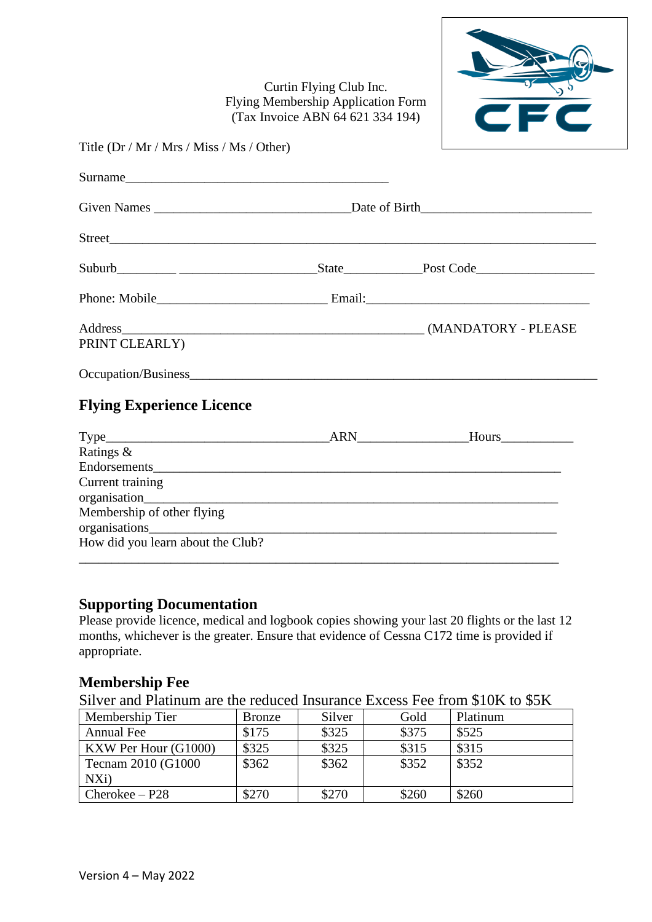Curtin Flying Club Inc. Flying Membership Application Form (Tax Invoice ABN 64 621 334 194)



| Title (Dr / Mr / Mrs / Miss / Ms / Other) |               |
|-------------------------------------------|---------------|
| Surname                                   |               |
| <b>Given Names</b>                        | Date of Birth |
| <b>Street</b>                             |               |

| Suburb                    | State  | Post Code           |
|---------------------------|--------|---------------------|
| Phone: Mobile             | Email: |                     |
| Address<br>PRINT CLEARLY) |        | (MANDATORY - PLEASE |

Occupation/Business\_\_\_\_\_\_\_\_\_\_\_\_\_\_\_\_\_\_\_\_\_\_\_\_\_\_\_\_\_\_\_\_\_\_\_\_\_\_\_\_\_\_\_\_\_\_\_\_\_\_\_\_\_\_\_\_\_\_\_\_\_\_

# **Flying Experience Licence**

|                                             | ARN | Hours |
|---------------------------------------------|-----|-------|
| Ratings &                                   |     |       |
| Endorsements                                |     |       |
| Current training                            |     |       |
| organisation__________                      |     |       |
| Membership of other flying<br>organisations |     |       |
| How did you learn about the Club?           |     |       |

## **Supporting Documentation**

Please provide licence, medical and logbook copies showing your last 20 flights or the last 12 months, whichever is the greater. Ensure that evidence of Cessna C172 time is provided if appropriate.

#### **Membership Fee**

Silver and Platinum are the reduced Insurance Excess Fee from \$10K to \$5K

| Membership Tier      | <b>Bronze</b> | Silver | Gold  | Platinum |
|----------------------|---------------|--------|-------|----------|
| <b>Annual Fee</b>    | \$175         | \$325  | \$375 | \$525    |
| KXW Per Hour (G1000) | \$325         | \$325  | \$315 | \$315    |
| Tecnam 2010 (G1000   | \$362         | \$362  | \$352 | \$352    |
| NXi)                 |               |        |       |          |
| $Cheroke - P28$      | \$270         | \$270  | \$260 | \$260    |